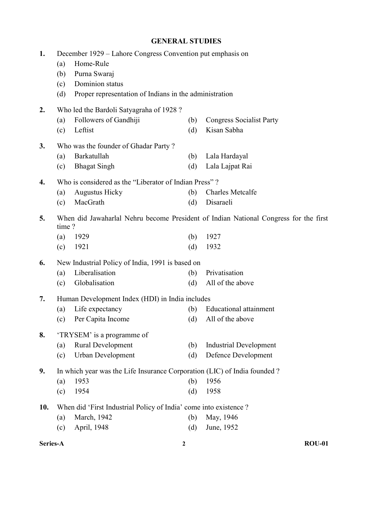## GENERAL STUDIES

| 1.       | (a)<br>(b)<br>(c)<br>(d) | December 1929 – Lahore Congress Convention put emphasis on<br>Home-Rule<br>Purna Swaraj<br>Dominion status<br>Proper representation of Indians in the administration |                  |                                                                                                      |
|----------|--------------------------|----------------------------------------------------------------------------------------------------------------------------------------------------------------------|------------------|------------------------------------------------------------------------------------------------------|
| 2.       | (a)<br>(c)               | Who led the Bardoli Satyagraha of 1928?<br>Followers of Gandhiji<br>Leftist                                                                                          | (b)<br>(d)       | <b>Congress Socialist Party</b><br>Kisan Sabha                                                       |
| 3.       | (a)<br>(c)               | Who was the founder of Ghadar Party?<br>Barkatullah<br><b>Bhagat Singh</b>                                                                                           | (b)<br>(d)       | Lala Hardayal<br>Lala Lajpat Rai                                                                     |
| 4.       | (a)<br>(c)               | Who is considered as the "Liberator of Indian Press"?<br><b>Augustus Hicky</b><br>MacGrath                                                                           | (b)<br>(d)       | <b>Charles Metcalfe</b><br>Disaraeli                                                                 |
| 5.       | time?<br>(a)<br>(c)      | 1929<br>1921                                                                                                                                                         | (b)<br>(d)       | When did Jawaharlal Nehru become President of Indian National Congress for the first<br>1927<br>1932 |
| 6.       | (a)<br>(c)               | New Industrial Policy of India, 1991 is based on<br>Liberalisation<br>Globalisation                                                                                  | (b)<br>(d)       | Privatisation<br>All of the above                                                                    |
| 7.       | (a)<br>(c)               | Human Development Index (HDI) in India includes<br>Life expectancy<br>Per Capita Income                                                                              | (b)<br>(d)       | <b>Educational attainment</b><br>All of the above                                                    |
| 8.       | (a)<br>(c)               | 'TRYSEM' is a programme of<br><b>Rural Development</b><br>Urban Development                                                                                          | (b)<br>(d)       | <b>Industrial Development</b><br>Defence Development                                                 |
| 9.       | (a)<br>(c)               | In which year was the Life Insurance Corporation (LIC) of India founded ?<br>1953<br>1954                                                                            | (b)<br>(d)       | 1956<br>1958                                                                                         |
| 10.      | (a)<br>(c)               | When did 'First Industrial Policy of India' come into existence ?<br>March, 1942<br>April, 1948                                                                      | (b)<br>(d)       | May, 1946<br>June, 1952                                                                              |
| Series-A |                          |                                                                                                                                                                      | $\boldsymbol{2}$ | <b>ROU-01</b>                                                                                        |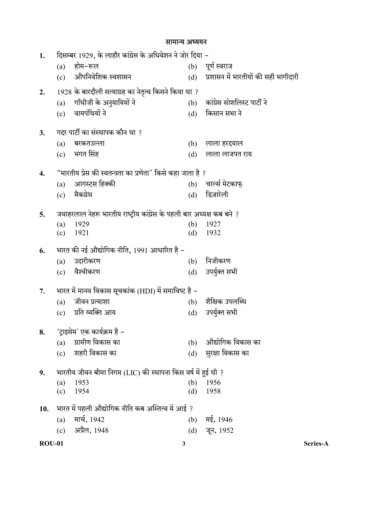ROU-01 3 Series-A 1. दिसम्बर 1929, के लाहौर कांग्रेस के अधिवेशन ने जोर दिया – (a)  $\overline{B}$ म–रूल  $\overline{C}$  (b) पूर्ण स्वराज (c) औपनिवेशिक स्वशासन (d) प्रशासन में भारतीयों की सही भागीदारी 2.  $1928$  के बारदौली सत्याग्रह का नेतृत्व किसने किया था ? (a) (b)  $(c)$  वामपंथियों ने  $(d)$  किसान सभा ने 3. गदर पार्टी का संस्थापक कौन था ?  $(a)$  बरकतउल्ला (b) लाला हरदयाल  $\overline{c}$ ) भगत सिंह  $\overline{c}$  (d) लाला लाजपत राय 4. "भारतीय प्रेस की स्वतन्त्रता का प्रणेता" किसे कहा जाता है ? (a) आगस्टस हिक्की (b) चार्ल्स मेटकाफ् (c) मैक्य्रेथ (d) डिज़ारेली 5. जवाहरलाल नेहरू भारतीय राष्ट्रीय कांग्रेस के पहली बार अध्यक्ष कब बने ? (a) 1929 (b) 1927 (c) 1921 (d) 1932 6. भारत की नई औद्योगिक नीति, 1991 आधारित है – (a) उदारीकरण (b) निजीकरण  $(c)$  वैश्वीकरण  $(d)$  उपर्युक्त सभी  $7.$  भारत में मानव विकास सूचकांक (HDI) में समाविष्ट है – (a) (b) (c) प्रति व्यक्ति आय (d) उपर्युक्त सभी 8. 'ट्राइसेम' एक कार्यक्रम है - $(a)$  ग्रामीण विकास का  $(b)$  औद्योगिक विकास का (c) शहरी विकास का (d) सुरक्षा विकास का 9. भारतीय जीवन बीमा निगम (LIC) की स्थापना किस वर्ष में हुई थी ? (a) 1953 (b) 1956 (c) 1954 (d) 1958 10. भारत में पहली औद्योगिक नीति कब अस्तित्व में आई ? (a)  $\overline{H}$   $\overline{H}$ ,  $1942$  (b)  $\overline{H}$ ,  $1946$ (c) अप्रैल, 1948 (d) जून, 1952

## सामान्य अध्ययन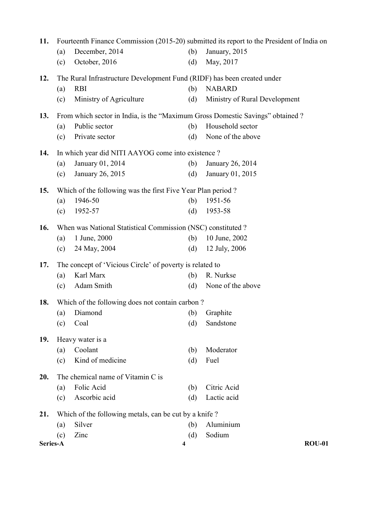| 11.      |     |                                                                                |     | Fourteenth Finance Commission (2015-20) submitted its report to the President of India on |
|----------|-----|--------------------------------------------------------------------------------|-----|-------------------------------------------------------------------------------------------|
|          | (a) | December, 2014                                                                 | (b) | January, 2015                                                                             |
|          | (c) | October, 2016                                                                  | (d) | May, 2017                                                                                 |
| 12.      |     | The Rural Infrastructure Development Fund (RIDF) has been created under        |     |                                                                                           |
|          | (a) | <b>RBI</b>                                                                     | (b) | <b>NABARD</b>                                                                             |
|          | (c) | Ministry of Agriculture                                                        | (d) | Ministry of Rural Development                                                             |
| 13.      |     | From which sector in India, is the "Maximum Gross Domestic Savings" obtained ? |     |                                                                                           |
|          | (a) | Public sector                                                                  | (b) | Household sector                                                                          |
|          | (c) | Private sector                                                                 | (d) | None of the above                                                                         |
| 14.      |     | In which year did NITI AAYOG come into existence?                              |     |                                                                                           |
|          | (a) | January 01, 2014                                                               | (b) | January 26, 2014                                                                          |
|          | (c) | January 26, 2015                                                               | (d) | January 01, 2015                                                                          |
| 15.      |     | Which of the following was the first Five Year Plan period?                    |     |                                                                                           |
|          | (a) | 1946-50                                                                        | (b) | 1951-56                                                                                   |
|          | (c) | 1952-57                                                                        | (d) | 1953-58                                                                                   |
| 16.      |     | When was National Statistical Commission (NSC) constituted ?                   |     |                                                                                           |
|          | (a) | 1 June, 2000                                                                   | (b) | 10 June, 2002                                                                             |
|          | (c) | 24 May, 2004                                                                   | (d) | 12 July, 2006                                                                             |
| 17.      |     | The concept of 'Vicious Circle' of poverty is related to                       |     |                                                                                           |
|          | (a) | Karl Marx                                                                      | (b) | R. Nurkse                                                                                 |
|          | (c) | Adam Smith                                                                     | (d) | None of the above                                                                         |
| 18.      |     | Which of the following does not contain carbon?                                |     |                                                                                           |
|          | (a) | Diamond                                                                        | (b) | Graphite                                                                                  |
|          | (c) | Coal                                                                           | (d) | Sandstone                                                                                 |
| 19.      |     | Heavy water is a                                                               |     |                                                                                           |
|          | (a) | Coolant                                                                        | (b) | Moderator                                                                                 |
|          | (c) | Kind of medicine                                                               | (d) | Fuel                                                                                      |
| 20.      |     | The chemical name of Vitamin C is                                              |     |                                                                                           |
|          | (a) | Folic Acid                                                                     | (b) | Citric Acid                                                                               |
|          | (c) | Ascorbic acid                                                                  | (d) | Lactic acid                                                                               |
| 21.      |     | Which of the following metals, can be cut by a knife?                          |     |                                                                                           |
|          | (a) | Silver                                                                         | (b) | Aluminium                                                                                 |
|          | (c) | Zinc                                                                           | (d) | Sodium                                                                                    |
| Series-A |     | 4                                                                              |     | <b>ROU-01</b>                                                                             |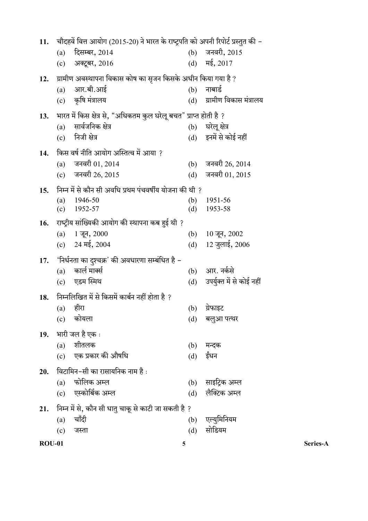| 12.           | आर.बी.आई<br>(a)                                                       | ग्रामीण अवस्थापना विकास कोष का सृजन किसके अधीन किया गया है ?      | (b)        | नाबार्ड                                                    |          |
|---------------|-----------------------------------------------------------------------|-------------------------------------------------------------------|------------|------------------------------------------------------------|----------|
|               | कृषि मंत्रालय<br>(c)                                                  |                                                                   | (d)        | ग्रामीण विकास मंत्रालय                                     |          |
| 13.           |                                                                       | भारत में किस क्षेत्र से, "अधिकतम कुल घरेलू बचत" प्राप्त होती है ? |            |                                                            |          |
|               | सार्वजनिक क्षेत्र<br>(a)                                              |                                                                   | (b)        | घरेलू क्षेत्र                                              |          |
|               | निजी क्षेत्र<br>(c)                                                   |                                                                   |            | (d) इनमें से कोई नहीं                                      |          |
| 14.           |                                                                       | किस वर्ष नीति आयोग अस्तित्व में आया ?                             |            |                                                            |          |
|               | जनवरी 01, 2014<br>(a)                                                 |                                                                   | (b)        | जनवरी 26, 2014                                             |          |
|               | (c) जनवरी 26, 2015                                                    |                                                                   | (d)        | जनवरी 01, 2015                                             |          |
| 15.           |                                                                       | निम्न में से कौन सी अवधि प्रथम पंचवर्षीय योजना की थी ?            |            |                                                            |          |
|               | 1946-50<br>(a)                                                        |                                                                   | (b)        | 1951-56                                                    |          |
|               | 1952-57<br>(c)                                                        |                                                                   | (d)        | 1953-58                                                    |          |
| 16.           |                                                                       | राष्ट्रीय सांख्यिकी आयोग की स्थापना कब हुई थी ?                   |            |                                                            |          |
|               | $1 \overline{3}$ न, 2000<br>(a)<br>$24 \overline{45}$ , $2004$<br>(c) |                                                                   | (b)<br>(d) | $10 \overline{q}$ न, $2002$<br>$12 \overline{9}$ लाई, 2006 |          |
|               |                                                                       |                                                                   |            |                                                            |          |
| 17.           | कार्ल मार्क्स<br>(a)                                                  | 'निर्धनता का दुश्चक्र' की अवधारणा सम्बंधित है –                   | (b)        | आर. नर्कसे                                                 |          |
|               | एडम स्मिथ<br>(c)                                                      |                                                                   | (d)        | उपर्युक्त में से कोई नहीं                                  |          |
| 18.           |                                                                       | निम्नलिखित में से किसमें कार्बन नहीं होता है ?                    |            |                                                            |          |
|               | हीरा<br>(a)                                                           |                                                                   | (b)        | ग्रेफाइट                                                   |          |
|               | कोयला<br>(c)                                                          |                                                                   | (d)        | बलुआ पत्थर                                                 |          |
| 19.           | भारी जल है एक :                                                       |                                                                   |            |                                                            |          |
|               | शीतलक<br>(a)                                                          |                                                                   | (b)        | मन्दक                                                      |          |
|               | (c)                                                                   | एक प्रकार की औषधि                                                 | (d)        | ईंधन                                                       |          |
| 20.           |                                                                       | विटामिन–सी का रासायनिक नाम है :                                   |            |                                                            |          |
|               | फोलिक अम्ल<br>(a)                                                     |                                                                   | (b)        | साइट्रिक अम्ल                                              |          |
|               | एस्कोर्बिक अम्ल<br>(c)                                                |                                                                   | (d)        | लैक्टिक अम्ल                                               |          |
| 21.           |                                                                       | निम्न में से, कौन सी धातु चाकू से काटी जा सकती है ?               |            |                                                            |          |
|               | चाँदी<br>(a)                                                          |                                                                   | (b)        | एल्युमिनियम                                                |          |
|               | (c)<br>जस्ता                                                          |                                                                   | (d)        | सोडियम                                                     |          |
| <b>ROU-01</b> |                                                                       |                                                                   | 5          |                                                            | Series-A |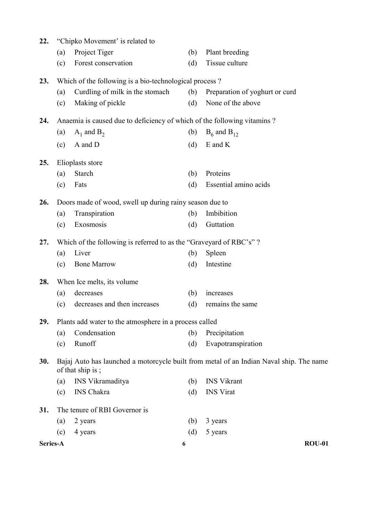| 22.      |     | "Chipko Movement' is related to                                         |     |                                                                                         |
|----------|-----|-------------------------------------------------------------------------|-----|-----------------------------------------------------------------------------------------|
|          | (a) | Project Tiger                                                           | (b) | Plant breeding                                                                          |
|          | (c) | Forest conservation                                                     | (d) | Tissue culture                                                                          |
| 23.      |     | Which of the following is a bio-technological process?                  |     |                                                                                         |
|          | (a) | Curdling of milk in the stomach                                         | (b) | Preparation of yoghurt or curd                                                          |
|          | (c) | Making of pickle                                                        | (d) | None of the above                                                                       |
| 24.      |     | Anaemia is caused due to deficiency of which of the following vitamins? |     |                                                                                         |
|          | (a) | $A_1$ and $B_2$                                                         | (b) | $B_6$ and $B_{12}$                                                                      |
|          | (c) | A and D                                                                 | (d) | E and K                                                                                 |
| 25.      |     | Elioplasts store                                                        |     |                                                                                         |
|          | (a) | <b>Starch</b>                                                           | (b) | Proteins                                                                                |
|          | (c) | Fats                                                                    | (d) | Essential amino acids                                                                   |
|          |     |                                                                         |     |                                                                                         |
| 26.      |     | Doors made of wood, swell up during rainy season due to                 |     |                                                                                         |
|          | (a) | Transpiration                                                           | (b) | Imbibition                                                                              |
|          | (c) | Exosmosis                                                               | (d) | Guttation                                                                               |
| 27.      |     | Which of the following is referred to as the "Graveyard of RBC's"?      |     |                                                                                         |
|          | (a) | Liver                                                                   | (b) | Spleen                                                                                  |
|          | (c) | <b>Bone Marrow</b>                                                      | (d) | Intestine                                                                               |
| 28.      |     | When Ice melts, its volume                                              |     |                                                                                         |
|          | (a) | decreases                                                               | (b) | increases                                                                               |
|          | (c) | decreases and then increases                                            | (d) | remains the same                                                                        |
| 29.      |     | Plants add water to the atmosphere in a process called                  |     |                                                                                         |
|          | (a) | Condensation                                                            | (b) | Precipitation                                                                           |
|          | (c) | Runoff                                                                  | (d) | Evapotranspiration                                                                      |
| 30.      |     | of that ship is;                                                        |     | Bajaj Auto has launched a motorcycle built from metal of an Indian Naval ship. The name |
|          | (a) | INS Vikramaditya                                                        | (b) | <b>INS Vikrant</b>                                                                      |
|          | (c) | <b>INS</b> Chakra                                                       | (d) | <b>INS</b> Virat                                                                        |
| 31.      |     | The tenure of RBI Governor is                                           |     |                                                                                         |
|          | (a) | 2 years                                                                 | (b) | 3 years                                                                                 |
|          | (c) | 4 years                                                                 | (d) | 5 years                                                                                 |
| Series-A |     | 6                                                                       |     | <b>ROU-01</b>                                                                           |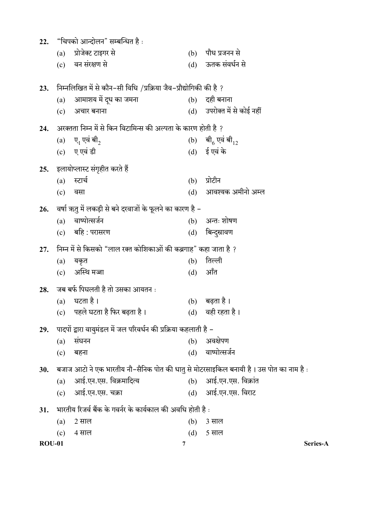| 22.           |     | "चिपको आन्दोलन" सम्बन्धित है :                                                        |     |                             |
|---------------|-----|---------------------------------------------------------------------------------------|-----|-----------------------------|
|               | (a) | प्रोजेक्ट टाइगर से                                                                    | (b) | पौध प्रजनन से               |
|               |     | (c) वन संरक्षण से                                                                     |     | (d) ऊतक संवर्धन से          |
| 23.           |     | निम्नलिखित में से कौन–सी विधि /प्रक्रिया जैव–प्रौद्योगिकी की है ?                     |     |                             |
|               | (a) | आमाशय में दूध का जमना                                                                 |     | $(b)$ दही बनाना             |
|               | (c) | अचार बनाना                                                                            |     | (d) उपरोक्त में से कोई नहीं |
| 24.           |     | अरक्तता निम्न में से किन विटामिन्स की अल्पता के कारण होती है ?                        |     |                             |
|               |     | (a) ए, एवं बी <sub>2</sub>                                                            |     | (b) बी $_6$ एवं बी $_{12}$  |
|               |     | (c) ए एवं डी                                                                          |     | (d) ई एवं के                |
| 25.           |     | इलायोप्लास्ट संगृहीत करते हैं                                                         |     |                             |
|               | (a) | स्टार्च                                                                               | (b) | प्रोटीन                     |
|               | (c) | वसा                                                                                   | (d) | आवश्यक अमीनो अम्ल           |
| 26.           |     | वर्षा ऋतु में लकड़ी से बने दरवाजों के फूलने का कारण है –                              |     |                             |
|               | (a) | वाष्पोत्सर्जन                                                                         |     | $(b)$ अन्तः शोषण            |
|               |     | (c) बहि : परासरण                                                                      | (d) | बिन्दुस्रावण                |
| 27.           |     | निम्न में से किसको "लाल रक्त कोशिकाओं की कब्रगाह" कहा जाता है ?                       |     |                             |
|               | (a) | यकृत                                                                                  | (b) | तिल्ली                      |
|               | (c) | अस्थि मज्जा                                                                           | (d) | ऑंत                         |
| 28.           |     | जब बर्फ पिघलती है तो उसका आयतन :                                                      |     |                             |
|               | (a) | घटता है ।                                                                             | (b) | बढ़ता है ।                  |
|               | (c) | पहले घटता है फिर बढ़ता है।                                                            | (d) | वही रहता है।                |
| 29.           |     | पादपों द्वारा वायुमंडल में जल परिवर्धन की प्रक्रिया कहलाती है –                       |     |                             |
|               | (a) | संघनन                                                                                 | (b) | अवक्षेपण                    |
|               | (c) | बहना                                                                                  | (d) | वाष्पोत्सर्जन               |
| 30.           |     | ं बजाज आटो ने एक भारतीय नौ–सैनिक पोत की धातु से मोटरसाइकिल बनायी है। उस पोत का नाम है |     |                             |
|               | (a) | आई.एन.एस. विक्रमादित्य                                                                |     | (b) आई.एन.एस. विक्रांत      |
|               | (c) | आई.एन.एस. चक्रा                                                                       |     | (d) आई.एन.एस. विराट         |
| 31.           |     | भारतीय रिजर्व बैंक के गवर्नर के कार्यकाल की अवधि होती है :                            |     |                             |
|               | (a) | 2 साल                                                                                 | (b) | 3 साल                       |
|               | (c) | 4 साल                                                                                 | (d) | 5 साल                       |
| <b>ROU-01</b> |     | 7                                                                                     |     | Series-A                    |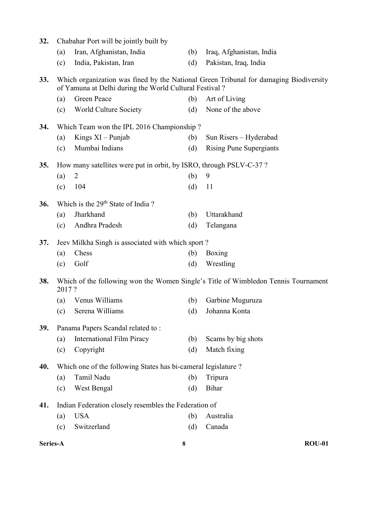| 32. |       | Chabahar Port will be jointly built by                              |     |                                                                                       |
|-----|-------|---------------------------------------------------------------------|-----|---------------------------------------------------------------------------------------|
|     | (a)   | Iran, Afghanistan, India                                            | (b) | Iraq, Afghanistan, India                                                              |
|     | (c)   | India, Pakistan, Iran                                               | (d) | Pakistan, Iraq, India                                                                 |
| 33. |       | of Yamuna at Delhi during the World Cultural Festival?              |     | Which organization was fined by the National Green Tribunal for damaging Biodiversity |
|     | (a)   | <b>Green Peace</b>                                                  | (b) | Art of Living                                                                         |
|     | (c)   | World Culture Society                                               | (d) | None of the above                                                                     |
| 34. |       | Which Team won the IPL 2016 Championship?                           |     |                                                                                       |
|     | (a)   | Kings $XI$ – Punjab                                                 | (b) | Sun Risers - Hyderabad                                                                |
|     | (c)   | Mumbai Indians                                                      | (d) | <b>Rising Pune Supergiants</b>                                                        |
| 35. |       | How many satellites were put in orbit, by ISRO, through PSLV-C-37 ? |     |                                                                                       |
|     | (a)   | 2                                                                   | (b) | 9                                                                                     |
|     | (c)   | 104                                                                 | (d) | 11                                                                                    |
| 36. |       | Which is the 29 <sup>th</sup> State of India?                       |     |                                                                                       |
|     | (a)   | Jharkhand                                                           | (b) | Uttarakhand                                                                           |
|     | (c)   | Andhra Pradesh                                                      | (d) | Telangana                                                                             |
| 37. |       | Jeev Milkha Singh is associated with which sport?                   |     |                                                                                       |
|     | (a)   | Chess                                                               | (b) | Boxing                                                                                |
|     | (c)   | Golf                                                                | (d) | Wrestling                                                                             |
| 38. | 2017? |                                                                     |     | Which of the following won the Women Single's Title of Wimbledon Tennis Tournament    |
|     | (a)   | Venus Williams                                                      | (b) | Garbine Muguruza                                                                      |
|     | (c)   | Serena Williams                                                     | (d) | Johanna Konta                                                                         |
| 39. |       | Panama Papers Scandal related to:                                   |     |                                                                                       |
|     | (a)   | <b>International Film Piracy</b>                                    | (b) | Scams by big shots                                                                    |
|     | (c)   | Copyright                                                           | (d) | Match fixing                                                                          |
| 40. |       | Which one of the following States has bi-cameral legislature?       |     |                                                                                       |
|     | (a)   | Tamil Nadu                                                          | (b) | Tripura                                                                               |
|     | (c)   | West Bengal                                                         | (d) | Bihar                                                                                 |
| 41. |       | Indian Federation closely resembles the Federation of               |     |                                                                                       |
|     | (a)   | <b>USA</b>                                                          | (b) | Australia                                                                             |
|     | (c)   | Switzerland                                                         | (d) | Canada                                                                                |
|     |       |                                                                     |     |                                                                                       |

Series-A ROU-01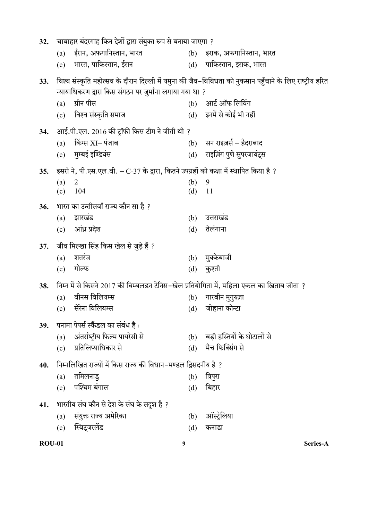| <b>ROU-01</b> |                                                               | 9                                                                                        |            | Series-A                                                                                                 |
|---------------|---------------------------------------------------------------|------------------------------------------------------------------------------------------|------------|----------------------------------------------------------------------------------------------------------|
|               | (c)                                                           | स्विट्जरलेंड                                                                             | (d)        | कनाडा                                                                                                    |
|               | (a)                                                           | संयुक्त राज्य अमेरिका                                                                    | (b)        | ऑस्ट्रेलिया                                                                                              |
| 41.           |                                                               | भारतीय संघ कौन से देश के संघ के सदृश है ?                                                |            |                                                                                                          |
|               | (c)                                                           | पश्चिम बंगाल                                                                             | (d)        | बिहार                                                                                                    |
|               | (a)                                                           | तमिलनाडु                                                                                 | (b)        | त्रिपुरा                                                                                                 |
| 40.           |                                                               | निम्नलिखित राज्यों में किस राज्य की विधान–मण्डल द्विसदनीय है ?                           |            |                                                                                                          |
|               | (c)                                                           | प्रतिलिप्याधिकार से                                                                      | (d)        | मैच फिक्सिंग से                                                                                          |
|               | (a)                                                           | अंतर्राष्ट्रीय फिल्म पायरेसी से                                                          | (b)        | बड़ी हस्तियों के घोटालों से                                                                              |
| 39.           |                                                               | पनामा पेपर्स स्कैंडल का संबंध है :                                                       |            |                                                                                                          |
|               | (c)                                                           |                                                                                          |            |                                                                                                          |
|               | (a)                                                           | वीनस विलियम्स<br>सेरेना विलियम्स                                                         | (b)        | गारबीन मुगुरुज़ा<br>(d) जोहाना कोन्टा                                                                    |
| 38.           |                                                               | निम्न में से किसने 2017 की विम्बलडन टेनिस–खेल प्रतियोगिता में, महिला एकल का खिताब जीता ? |            |                                                                                                          |
|               |                                                               |                                                                                          |            |                                                                                                          |
|               | (a)<br>(c)                                                    | गोल्फ                                                                                    | (b)<br>(d) | कुश्ती                                                                                                   |
| 37.           |                                                               | जीव मिल्खा सिंह किस खेल से जुड़े हैं ?<br>शतरंज                                          |            | मुक्केबाजी                                                                                               |
|               |                                                               |                                                                                          |            |                                                                                                          |
|               | (c)                                                           | आंध्र प्रदेश                                                                             | (d)        | तेलंगाना                                                                                                 |
|               | (a)                                                           | झारखंड                                                                                   | (b)        | उत्तराखंड                                                                                                |
| 36.           |                                                               | भारत का उन्तीसवाँ राज्य कौन सा है ?                                                      |            |                                                                                                          |
|               | $\overline{2}$<br>(a)<br>(c)                                  | 104                                                                                      | (b)<br>(d) | 9<br>11                                                                                                  |
| 35.           |                                                               | इसरो ने, पी.एस.एल.वी. – C-37 के द्वारा, कितने उपग्रहों को कक्षा में स्थापित किया है ?    |            |                                                                                                          |
|               |                                                               |                                                                                          |            |                                                                                                          |
|               |                                                               | (c) मुम्बई इण्डियंस                                                                      |            | (d) राइज़िंग पुणे सुपरजायंट्स                                                                            |
| 34.           | (a)                                                           | आई.पी.एल. 2016 की ट्रॉफी किस टीम ने जीती थी ?<br>किंग्स $XI-$ पंजाब                      |            | (b) सन राइज़र्स – हैदराबाद                                                                               |
|               |                                                               |                                                                                          |            |                                                                                                          |
|               |                                                               | (c) विश्व संस्कृति समाज                                                                  |            | (d) इनमें से कोई भी नहीं                                                                                 |
|               | (a)                                                           | ग्रीन पीस                                                                                |            | (b) आर्ट ऑफ लिविंग                                                                                       |
| 33.           |                                                               | न्यायाधिकरण द्वारा किस संगठन पर जुर्माना लगाया गया था ?                                  |            | विश्व संस्कृति महोत्सव के दौरान दिल्ली में यमुना की जैव–विविधता को नुकसान पहुँचाने के लिए राष्ट्रीय हरित |
|               |                                                               |                                                                                          |            |                                                                                                          |
|               |                                                               | (c) भारत, पाकिस्तान, ईरान                                                                |            | (d) पाकिस्तान, इराक, भारत                                                                                |
|               | (a)                                                           | ईरान, अफगानिस्तान, भारत                                                                  |            | (b) इराक, अफगानिस्तान, भारत                                                                              |
| 32.           | चाबाहार बंदरगाह किन देशों द्वारा संयुक्त रूप से बनाया जाएगा ? |                                                                                          |            |                                                                                                          |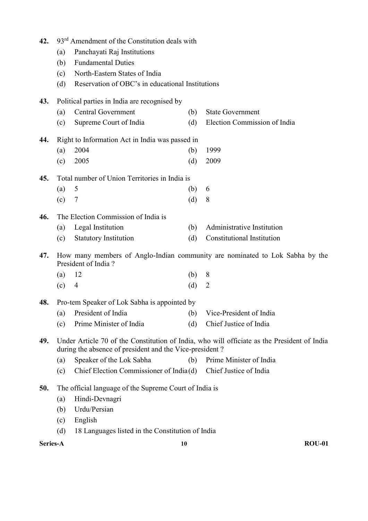| 42.      |     | 93 <sup>rd</sup> Amendment of the Constitution deals with      |     |                                                                                             |  |  |
|----------|-----|----------------------------------------------------------------|-----|---------------------------------------------------------------------------------------------|--|--|
|          | (a) | Panchayati Raj Institutions                                    |     |                                                                                             |  |  |
|          | (b) | <b>Fundamental Duties</b>                                      |     |                                                                                             |  |  |
|          | (c) | North-Eastern States of India                                  |     |                                                                                             |  |  |
|          | (d) | Reservation of OBC's in educational Institutions               |     |                                                                                             |  |  |
| 43.      |     | Political parties in India are recognised by                   |     |                                                                                             |  |  |
|          | (a) | <b>Central Government</b>                                      | (b) | <b>State Government</b>                                                                     |  |  |
|          | (c) | Supreme Court of India                                         | (d) | Election Commission of India                                                                |  |  |
| 44.      |     | Right to Information Act in India was passed in                |     |                                                                                             |  |  |
|          | (a) | 2004                                                           | (b) | 1999                                                                                        |  |  |
|          | (c) | 2005                                                           | (d) | 2009                                                                                        |  |  |
| 45.      |     | Total number of Union Territories in India is                  |     |                                                                                             |  |  |
|          | (a) | 5                                                              | (b) | 6                                                                                           |  |  |
|          | (c) | 7                                                              | (d) | 8                                                                                           |  |  |
| 46.      |     | The Election Commission of India is                            |     |                                                                                             |  |  |
|          | (a) | Legal Institution                                              | (b) | Administrative Institution                                                                  |  |  |
|          | (c) | <b>Statutory Institution</b>                                   | (d) | Constitutional Institution                                                                  |  |  |
| 47.      |     | President of India?                                            |     | How many members of Anglo-Indian community are nominated to Lok Sabha by the                |  |  |
|          | (a) | 12                                                             | (b) | 8                                                                                           |  |  |
|          | (c) | $\overline{4}$                                                 | (d) | $\overline{2}$                                                                              |  |  |
| 48.      |     | Pro-tem Speaker of Lok Sabha is appointed by                   |     |                                                                                             |  |  |
|          |     | (a) President of India                                         |     | (b) Vice-President of India                                                                 |  |  |
|          | (c) | Prime Minister of India                                        | (d) | Chief Justice of India                                                                      |  |  |
| 49.      |     | during the absence of president and the Vice-president?        |     | Under Article 70 of the Constitution of India, who will officiate as the President of India |  |  |
|          | (a) | Speaker of the Lok Sabha                                       | (b) | Prime Minister of India                                                                     |  |  |
|          | (c) | Chief Election Commissioner of India(d) Chief Justice of India |     |                                                                                             |  |  |
| 50.      |     | The official language of the Supreme Court of India is         |     |                                                                                             |  |  |
|          | (a) | Hindi-Devnagri                                                 |     |                                                                                             |  |  |
|          | (b) | Urdu/Persian                                                   |     |                                                                                             |  |  |
|          | (c) | English                                                        |     |                                                                                             |  |  |
|          | (d) | 18 Languages listed in the Constitution of India               |     |                                                                                             |  |  |
| Series-A |     |                                                                | 10  | <b>ROU-01</b>                                                                               |  |  |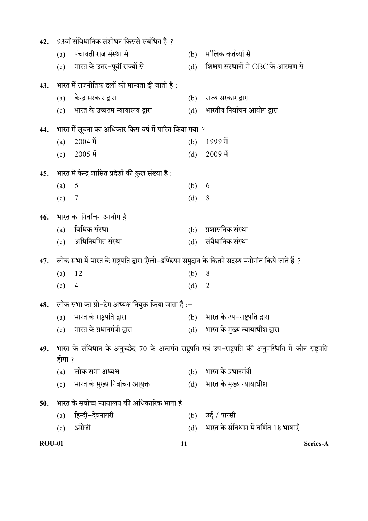| 42.           |        | 93वाँ संविधानिक संशोधन किससे संबंधित है ?                                                         |     |                                                                                                          |
|---------------|--------|---------------------------------------------------------------------------------------------------|-----|----------------------------------------------------------------------------------------------------------|
|               | (a)    | पंचायती राज संस्था से                                                                             | (b) | मौलिक कर्तव्यों से                                                                                       |
|               | (c)    | भारत के उत्तर-पूर्वी राज्यों से                                                                   | (d) | शिक्षण संस्थानों में OBC के आरक्षण से                                                                    |
| 43.           |        | भारत में राजनीतिक दलों को मान्यता दी जाती है :                                                    |     |                                                                                                          |
|               | (a)    | केन्द्र सरकार द्वारा                                                                              | (b) | राज्य सरकार द्वारा                                                                                       |
|               |        | (c) भारत के उच्चतम न्यायालय द्वारा                                                                | (d) | भारतीय निर्वाचन आयोग द्वारा                                                                              |
| 44.           |        | भारत में सूचना का अधिकार किस वर्ष में पारित किया गया ?                                            |     |                                                                                                          |
|               | (a)    | $2004 \hat{H}$                                                                                    | (b) | $1999 \hat{q}$                                                                                           |
|               | (c)    | $2005 \,\mathfrak{\vec{H}}$                                                                       | (d) | $2009 \hat{q}$                                                                                           |
| 45.           |        | भारत में केन्द्र शासित प्रदेशों की कुल संख्या है :                                                |     |                                                                                                          |
|               | (a)    | 5                                                                                                 | (b) | 6                                                                                                        |
|               | (c)    | 7                                                                                                 | (d) | 8                                                                                                        |
| 46.           |        | भारत का निर्वाचन आयोग है                                                                          |     |                                                                                                          |
|               | (a)    | विधिक संस्था                                                                                      | (b) | प्रशासनिक संस्था                                                                                         |
|               | (c)    | अधिनियमित संस्था                                                                                  | (d) | संवैधानिक संस्था                                                                                         |
| 47.           |        | लोक सभा में भारत के राष्ट्रपति द्वारा ऍंग्लो–इण्डियन समुदाय के कितने सदस्य मनोनीत किये जाते हैं ? |     |                                                                                                          |
|               | (a)    | 12                                                                                                | (b) | 8                                                                                                        |
|               | (c)    | 4                                                                                                 | (d) | $\overline{2}$                                                                                           |
|               |        | 48. लोक सभा का प्रो-टेम अध्यक्ष नियुक्त किया जाता है :–                                           |     |                                                                                                          |
|               | (a)    | भारत के राष्ट्रपति द्वारा                                                                         | (b) | भारत के उप-राष्ट्रपति द्वारा                                                                             |
|               | (c)    | भारत के प्रधानमंत्री द्वारा                                                                       | (d) | भारत के मुख्य न्यायाधीश द्वारा                                                                           |
| 49.           | होगा ? |                                                                                                   |     | भारत के संविधान के अनुच्छेद 70 के अन्तर्गत राष्ट्रपति एवं उप–राष्ट्रपति की अनुपस्थिति में कौन राष्ट्रपति |
|               | (a)    | लोक सभा अध्यक्ष                                                                                   | (b) | भारत के प्रधानमंत्री                                                                                     |
|               | (c)    | भारत के मुख्य निर्वाचन आयुक्त                                                                     | (d) | भारत के मुख्य न्यायाधीश                                                                                  |
| 50.           |        | भारत के सर्वोच्च न्यायालय की अधिकारिक भाषा है                                                     |     |                                                                                                          |
|               | (a)    | हिन्दी-देवनागरी                                                                                   | (b) | उर्दू / पारसी                                                                                            |
|               | (c)    | अंग्रेजी                                                                                          | (d) | भारत के संविधान में वर्णित 18 भाषाएँ                                                                     |
| <b>ROU-01</b> |        |                                                                                                   | 11  | Series-A                                                                                                 |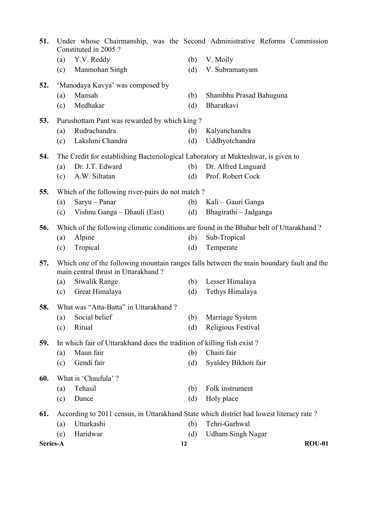| 51.      | Constituted in 2005?                                                                    |     | Under whose Chairmanship, was the Second Administrative Reforms Commission               |
|----------|-----------------------------------------------------------------------------------------|-----|------------------------------------------------------------------------------------------|
|          | Y.V. Reddy<br>(a)                                                                       | (b) | V. Moily                                                                                 |
|          | Manmohan Singh<br>(c)                                                                   | (d) | V. Subramanyam                                                                           |
| 52.      | 'Manodaya Kavya' was composed by                                                        |     |                                                                                          |
|          | Mansah<br>(a)                                                                           | (b) | Shambhu Prasad Bahuguna                                                                  |
|          | Medhakar<br>(c)                                                                         | (d) | Bharatkavi                                                                               |
| 53.      | Purushottam Pant was rewarded by which king?                                            |     |                                                                                          |
|          | Rudrachandra<br>(a)                                                                     | (b) | Kalyanchandra                                                                            |
|          | Lakshmi Chandra<br>(c)                                                                  | (d) | Uddhyotchandra                                                                           |
| 54.      | The Credit for establishing Bacteriological Laboratory at Mukteshwar, is given to       |     |                                                                                          |
|          | Dr. J.T. Edward<br>(a)                                                                  | (b) | Dr. Alfred Linguard                                                                      |
|          | A.W. Siltatan<br>(c)                                                                    | (d) | Prof. Robert Cock                                                                        |
| 55.      | Which of the following river-pairs do not match?                                        |     |                                                                                          |
|          | Saryu - Panar<br>(a)                                                                    | (b) | Kali – Gauri Ganga                                                                       |
|          | Vishnu Ganga – Dhauli (East)<br>(c)                                                     | (d) | Bhagirathi - Jadganga                                                                    |
| 56.      | Which of the following climatic conditions are found in the Bhabar belt of Uttarakhand? |     |                                                                                          |
|          | Alpine<br>(a)                                                                           | (b) | Sub-Tropical                                                                             |
|          | Tropical<br>(c)                                                                         | (d) | Temperate                                                                                |
| 57.      | main central thrust in Uttarakhand?                                                     |     | Which one of the following mountain ranges falls between the main boundary fault and the |
|          | Siwalik Range<br>(a)                                                                    | (b) | Lesser Himalaya                                                                          |
|          | Great Himalaya<br>(c)                                                                   | (d) | Tethys Himalaya                                                                          |
| 58.      | What was "Atta-Batta" in Uttarakhand?                                                   |     |                                                                                          |
|          | Social belief<br>(a)                                                                    | (b) | Marriage System                                                                          |
|          | Ritual<br>(c)                                                                           | (d) | Religious Festival                                                                       |
| 59.      | In which fair of Uttarakhand does the tradition of killing fish exist?                  |     |                                                                                          |
|          | Maun fair<br>$\left( \text{a}\right)$                                                   | (b) | Chaiti fair                                                                              |
|          | Gendi fair<br>(c)                                                                       | (d) | Syaldey Bikhoti fair                                                                     |
| 60.      | What is 'Chaufula'?                                                                     |     |                                                                                          |
|          | Tehasil<br>(a)                                                                          | (b) | Folk instrument                                                                          |
|          | Dance<br>(c)                                                                            | (d) | Holy place                                                                               |
| 61.      | According to 2011 census, in Uttarakhand State which district had lowest literacy rate? |     |                                                                                          |
|          | Uttarkashi<br>(a)                                                                       | (b) | Tehri-Garhwal                                                                            |
|          | Haridwar<br>(c)                                                                         | (d) | <b>Udham Singh Nagar</b>                                                                 |
| Series-A |                                                                                         | 12  | <b>ROU-01</b>                                                                            |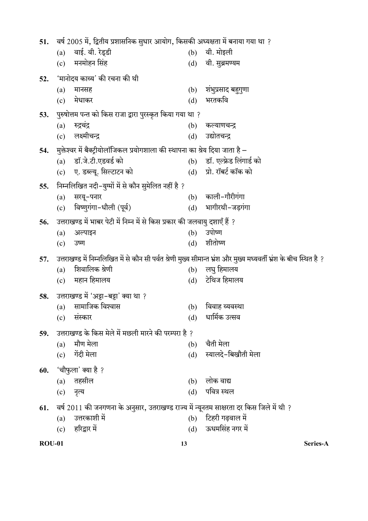| 51.           | वर्ष 2005 में, द्वितीय प्रशासनिक सुधार आयोग, किसकी अध्यक्षता में बनाया गया था ?                                     |     |                                     |
|---------------|---------------------------------------------------------------------------------------------------------------------|-----|-------------------------------------|
|               | वाई. वी. रेड्डी<br>(a)                                                                                              | (b) | वी. मोइली                           |
|               | मनमोहन सिंह<br>(c)                                                                                                  | (d) | वी. सुब्रमण्यम                      |
| 52.           | 'मानोदय काव्य' की रचना की थी                                                                                        |     |                                     |
|               | मानसह<br>(a)                                                                                                        | (b) | शंभुप्रसाद बहुगुणा                  |
|               | मेधाकर<br>(c)                                                                                                       | (d) | भरतकवि                              |
| 53.           | पुरुषोत्तम पन्त को किस राजा द्वारा पुरस्कृत किया गया था ?                                                           |     |                                     |
|               | रुद्रचंद्र<br>(a)                                                                                                   | (b) | कल्याणचन्द्र                        |
|               | लक्ष्मीचन्द्र<br>(c)                                                                                                | (d) | उद्योतचन्द्र                        |
| 54.           | मुक्तेश्वर में बैक्ट्रीयोलॉजिकल प्रयोगशाला की स्थापना का श्रेय दिया जाता है –                                       |     |                                     |
|               | डॉ.जे.टी.एडवर्ड को<br>(a)                                                                                           |     | (b) डॉ. एल्फ्रेड लिंगार्ड को        |
|               | ए. डब्ल्यू. सिल्टाटन को<br>(c)                                                                                      | (d) | प्रो. रॉबर्ट कॉक को                 |
| 55.           | निम्नलिखित नदी–युग्मों में से कौन सुमेलित नहीं है ?                                                                 |     |                                     |
|               | सरयू-पनार<br>(a)                                                                                                    | (b) | काली-गौरीगंगा                       |
|               | विष्णुगंगा-धौली (पूर्व)<br>(c)                                                                                      | (d) | भागीरथी-जड़गंगा                     |
| 56.           | उत्तराखण्ड में भाबर पेटी में निम्न में से किस प्रकार की जलवायु दशाएँ हैं ?                                          |     |                                     |
|               | अल्पाइन<br>(a)                                                                                                      | (b) | उपोष्ण                              |
|               | उष्ण<br>(c)                                                                                                         | (d) | शीतोष्ण                             |
|               |                                                                                                                     |     |                                     |
| 57.           | उत्तराखण्ड में निम्नलिखित में से कौन सी पर्वत श्रेणी मुख्य सीमान्त भ्रंश और मुख्य मध्यवर्ती भ्रंश के बीच स्थित है ? |     |                                     |
|               | शिवालिक श्रेणी<br>(a)                                                                                               | (b) | लघु हिमालय                          |
|               | महान हिमालय<br>(c)                                                                                                  | (d) | टेथिज हिमालय                        |
| 58.           | उत्तराखण्ड में 'अट्टा-बट्टा' क्या था ?                                                                              |     |                                     |
|               | सामाजिक विश्वास<br>(a)                                                                                              | (b) | विवाह व्यवस्था                      |
|               | (c)<br>सस्कार                                                                                                       | (d) | धार्मिक उत्सव                       |
| 59.           | उत्तराखण्ड के किस मेले में मछली मारने की परम्परा है ?                                                               |     |                                     |
|               | मौण मेला<br>(a)                                                                                                     | (b) | चैती मेला                           |
|               | गेंदी मेला<br>(c)                                                                                                   | (d) | स्यालदे-बिखौती मेला                 |
| 60.           | 'चौफुला' क्या है ?                                                                                                  |     |                                     |
|               | तहसील<br>(a)                                                                                                        | (b) | लोक वाद्य                           |
|               | (c)<br>नृत्य                                                                                                        | (d) | पवित्र स्थल                         |
|               |                                                                                                                     |     |                                     |
| 61.           | वर्ष 2011 की जनगणना के अनुसार, उतराखण्ड राज्य में न्यूनतम साक्षरता दर किस जिले में थी ?<br>उत्तरकाशी में            |     |                                     |
|               | (a)                                                                                                                 | (b) | टिहरी गढ़वाल में<br>ऊधमसिंह नगर में |
|               | हरिद्वार में<br>(c)                                                                                                 | (d) |                                     |
| <b>ROU-01</b> |                                                                                                                     | 13  | Series-A                            |
|               |                                                                                                                     |     |                                     |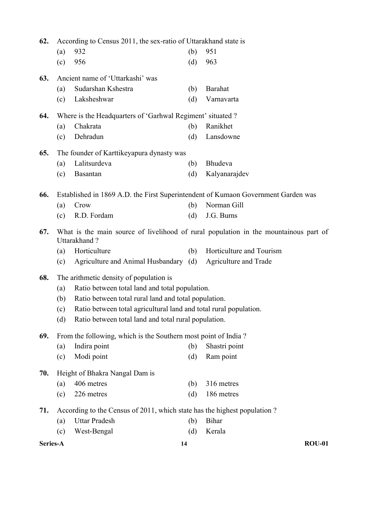| 62.      | According to Census 2011, the sex-ratio of Uttarakhand state is |                                                                          |     |                                                                                      |
|----------|-----------------------------------------------------------------|--------------------------------------------------------------------------|-----|--------------------------------------------------------------------------------------|
|          | (a)                                                             | 932                                                                      | (b) | 951                                                                                  |
|          | (c)                                                             | 956                                                                      | (d) | 963                                                                                  |
| 63.      |                                                                 | Ancient name of 'Uttarkashi' was                                         |     |                                                                                      |
|          | (a)                                                             | Sudarshan Kshestra                                                       | (b) | <b>Barahat</b>                                                                       |
|          | (c)                                                             | Laksheshwar                                                              | (d) | Varnavarta                                                                           |
| 64.      |                                                                 | Where is the Headquarters of 'Garhwal Regiment' situated ?               |     |                                                                                      |
|          | (a)                                                             | Chakrata                                                                 | (b) | Ranikhet                                                                             |
|          | (c)                                                             | Dehradun                                                                 | (d) | Lansdowne                                                                            |
| 65.      |                                                                 | The founder of Karttikeyapura dynasty was                                |     |                                                                                      |
|          | (a)                                                             | Lalitsurdeva                                                             | (b) | Bhudeva                                                                              |
|          | (c)                                                             | Basantan                                                                 | (d) | Kalyanarajdev                                                                        |
| 66.      |                                                                 |                                                                          |     | Established in 1869 A.D. the First Superintendent of Kumaon Government Garden was    |
|          | (a)                                                             | Crow                                                                     | (b) | Norman Gill                                                                          |
|          | (c)                                                             | R.D. Fordam                                                              | (d) | J.G. Burns                                                                           |
| 67.      |                                                                 | Uttarakhand?                                                             |     | What is the main source of livelihood of rural population in the mountainous part of |
|          | (a)                                                             | Horticulture                                                             | (b) | Horticulture and Tourism                                                             |
|          | (c)                                                             | Agriculture and Animal Husbandary (d)                                    |     | Agriculture and Trade                                                                |
| 68.      |                                                                 | The arithmetic density of population is                                  |     |                                                                                      |
|          | (a)                                                             | Ratio between total land and total population.                           |     |                                                                                      |
|          | Ratio between total rural land and total population.<br>(b)     |                                                                          |     |                                                                                      |
|          | (c)                                                             | Ratio between total agricultural land and total rural population.        |     |                                                                                      |
|          | (d)                                                             | Ratio between total land and total rural population.                     |     |                                                                                      |
| 69.      |                                                                 | From the following, which is the Southern most point of India?           |     |                                                                                      |
|          | (a)                                                             | Indira point                                                             | (b) | Shastri point                                                                        |
|          | (c)                                                             | Modi point                                                               | (d) | Ram point                                                                            |
| 70.      |                                                                 | Height of Bhakra Nangal Dam is                                           |     |                                                                                      |
|          | (a)                                                             | 406 metres                                                               | (b) | 316 metres                                                                           |
|          | (c)                                                             | 226 metres                                                               | (d) | 186 metres                                                                           |
| 71.      |                                                                 | According to the Census of 2011, which state has the highest population? |     |                                                                                      |
|          | (a)                                                             | <b>Uttar Pradesh</b>                                                     | (b) | Bihar                                                                                |
|          | (c)                                                             | West-Bengal                                                              | (d) | Kerala                                                                               |
| Series-A |                                                                 | 14                                                                       |     | <b>ROU-01</b>                                                                        |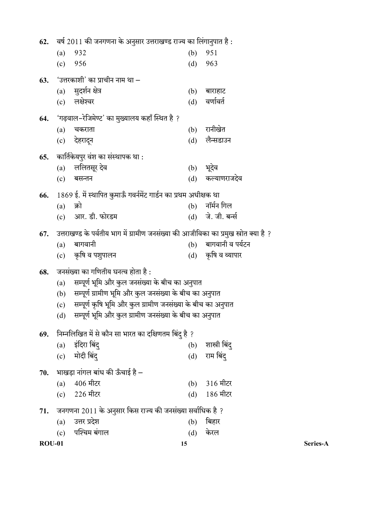| 62.           | ंवर्ष 2011 की जनगणना के अनुसार उत्तराखण्ड राज्य का लिंगानुपात है :                                                               |                                                                                       |            |                    |          |
|---------------|----------------------------------------------------------------------------------------------------------------------------------|---------------------------------------------------------------------------------------|------------|--------------------|----------|
|               | (a)                                                                                                                              | 932                                                                                   | (b)        | 951                |          |
|               | (c)                                                                                                                              | 956                                                                                   | (d)        | 963                |          |
| 63.           |                                                                                                                                  | 'उत्तरकाशी' का प्राचीन नाम था –                                                       |            |                    |          |
|               | (a)                                                                                                                              | सुदर्शन क्षेत्र                                                                       | (b)        | बाराहाट            |          |
|               | (c)                                                                                                                              | लक्षेश्वर                                                                             | (d)        | वर्णावर्त          |          |
| 64.           |                                                                                                                                  | 'गढ़वाल–रेजिमेण्ट' का मुख्यालय कहाँ स्थित है ?                                        |            |                    |          |
|               | (a)                                                                                                                              | चकराता                                                                                | (b)        | रानीखेत            |          |
|               | (c)                                                                                                                              | देहरादून                                                                              | (d)        | लैन्सडाउन          |          |
|               |                                                                                                                                  |                                                                                       |            |                    |          |
| 65.           |                                                                                                                                  | कार्तिकेयपुर वंश का संस्थापक था :                                                     |            |                    |          |
|               | (a)                                                                                                                              | ललितसूर देव                                                                           | (b)        | भूदेव              |          |
|               | (c)                                                                                                                              | बसन्तन                                                                                | (d)        | कल्याणराजदेव       |          |
| 66.           |                                                                                                                                  | 1869 ई. में स्थापित कुमाऊँ गवर्नमेंट गार्डन का प्रथम अधीक्षक था                       |            |                    |          |
|               | (a)                                                                                                                              | क्रो                                                                                  | (b)        | नॉर्मन गिल         |          |
|               | (c)                                                                                                                              | आर. डी. फोरडम                                                                         | (d)        | जे. जी. बर्न्स     |          |
| 67.           |                                                                                                                                  | उत्तराखण्ड के पर्वतीय भाग में ग्रामीण जनसंख्या की आजीविका का प्रमुख स्त्रोत क्या है ? |            |                    |          |
|               | (a)                                                                                                                              | बागवानी                                                                               | (b)        | बागवानी व पर्यटन   |          |
|               |                                                                                                                                  | (c) कृषि व पशुपालन                                                                    |            | (d) कृषि व व्यापार |          |
| 68.           |                                                                                                                                  | जनसंख्या का गणितीय घनत्व होता है :                                                    |            |                    |          |
|               | सम्पूर्ण भूमि और कुल जनसंख्या के बीच का अनुपात<br>(a)                                                                            |                                                                                       |            |                    |          |
|               | (b)                                                                                                                              | सम्पूर्ण ग्रामीण भूमि और कुल जनसंख्या के बीच का अनुपात                                |            |                    |          |
|               | सम्पूर्ण कृषि भूमि और कुल ग्रामीण जनसंख्या के बीच का अनुपात<br>(c)<br>(d) सम्पूर्ण भूमि और कुल ग्रामीण जनसंख्या के बीच का अनुपात |                                                                                       |            |                    |          |
|               |                                                                                                                                  |                                                                                       |            |                    |          |
| 69.           |                                                                                                                                  | निम्नलिखित में से कौन सा भारत का दक्षिणतम बिंदु है ?                                  |            |                    |          |
|               | (a)                                                                                                                              | इंदिरा बिंदू                                                                          | (b)        | शास्त्री बिंदू     |          |
|               | (c)                                                                                                                              | मोदी बिंदू                                                                            | (d)        | राम बिंदू          |          |
|               |                                                                                                                                  |                                                                                       |            |                    |          |
| 70.           |                                                                                                                                  | भाखड़ा नांगल बांध की ऊँचाई है –<br>406 मीटर                                           |            | 316 मीटर           |          |
|               | (a)                                                                                                                              | 226 मीटर                                                                              | (b)<br>(d) | 186 मीटर           |          |
|               | (c)                                                                                                                              |                                                                                       |            |                    |          |
| 71.           |                                                                                                                                  | जनगणना 2011 के अनुसार किस राज्य की जनसंख्या सर्वाधिक है ?                             |            |                    |          |
|               | (a)                                                                                                                              | उत्तर प्रदेश                                                                          | (b)        | बिहार              |          |
|               | (c)                                                                                                                              | पश्चिम बंगाल                                                                          | (d)        | केरल               |          |
| <b>ROU-01</b> |                                                                                                                                  |                                                                                       | 15         |                    | Series-A |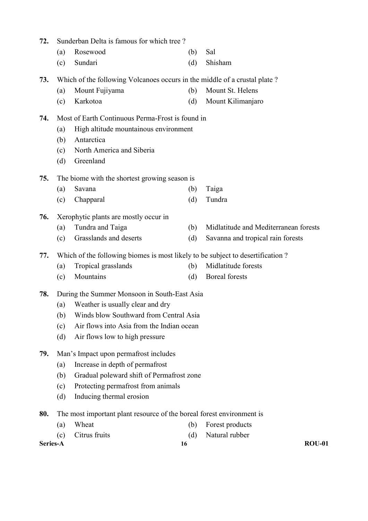| 72.      | Sunderban Delta is famous for which tree?                                      |                                                                           |     |                                       |  |  |  |  |
|----------|--------------------------------------------------------------------------------|---------------------------------------------------------------------------|-----|---------------------------------------|--|--|--|--|
|          | (a)                                                                            | Rosewood                                                                  | (b) | Sal                                   |  |  |  |  |
|          | (c)                                                                            | Sundari                                                                   | (d) | Shisham                               |  |  |  |  |
| 73.      |                                                                                | Which of the following Volcanoes occurs in the middle of a crustal plate? |     |                                       |  |  |  |  |
|          | (a)                                                                            | Mount Fujiyama                                                            | (b) | Mount St. Helens                      |  |  |  |  |
|          | (c)                                                                            | Karkotoa                                                                  | (d) | Mount Kilimanjaro                     |  |  |  |  |
| 74.      |                                                                                | Most of Earth Continuous Perma-Frost is found in                          |     |                                       |  |  |  |  |
|          | (a)                                                                            | High altitude mountainous environment                                     |     |                                       |  |  |  |  |
|          | (b)                                                                            | Antarctica                                                                |     |                                       |  |  |  |  |
|          | (c)                                                                            | North America and Siberia                                                 |     |                                       |  |  |  |  |
|          | (d)                                                                            | Greenland                                                                 |     |                                       |  |  |  |  |
| 75.      |                                                                                | The biome with the shortest growing season is                             |     |                                       |  |  |  |  |
|          | (a)                                                                            | Savana                                                                    | (b) | Taiga                                 |  |  |  |  |
|          | (c)                                                                            | Chapparal                                                                 | (d) | Tundra                                |  |  |  |  |
| 76.      | Xerophytic plants are mostly occur in                                          |                                                                           |     |                                       |  |  |  |  |
|          | (a)                                                                            | Tundra and Taiga                                                          | (b) | Midlatitude and Mediterranean forests |  |  |  |  |
|          | (c)                                                                            | Grasslands and deserts                                                    | (d) | Savanna and tropical rain forests     |  |  |  |  |
| 77.      | Which of the following biomes is most likely to be subject to desertification? |                                                                           |     |                                       |  |  |  |  |
|          | (a)                                                                            | Tropical grasslands                                                       | (b) | Midlatitude forests                   |  |  |  |  |
|          | (c)                                                                            | Mountains                                                                 | (d) | <b>Boreal</b> forests                 |  |  |  |  |
| 78.      |                                                                                | During the Summer Monsoon in South-East Asia                              |     |                                       |  |  |  |  |
|          | (a)                                                                            | Weather is usually clear and dry                                          |     |                                       |  |  |  |  |
|          |                                                                                | (b) Winds blow Southward from Central Asia                                |     |                                       |  |  |  |  |
|          | (c)                                                                            | Air flows into Asia from the Indian ocean                                 |     |                                       |  |  |  |  |
|          | (d)                                                                            | Air flows low to high pressure                                            |     |                                       |  |  |  |  |
| 79.      | Man's Impact upon permafrost includes                                          |                                                                           |     |                                       |  |  |  |  |
|          | (a)                                                                            | Increase in depth of permafrost                                           |     |                                       |  |  |  |  |
|          | (b)                                                                            | Gradual poleward shift of Permafrost zone                                 |     |                                       |  |  |  |  |
|          | (c)                                                                            | Protecting permafrost from animals                                        |     |                                       |  |  |  |  |
|          | (d)                                                                            | Inducing thermal erosion                                                  |     |                                       |  |  |  |  |
| 80.      |                                                                                | The most important plant resource of the boreal forest environment is     |     |                                       |  |  |  |  |
|          | (a)                                                                            | Wheat                                                                     | (b) | Forest products                       |  |  |  |  |
|          | (c)                                                                            | Citrus fruits                                                             | (d) | Natural rubber                        |  |  |  |  |
| Series-A |                                                                                |                                                                           | 16  | <b>ROU-01</b>                         |  |  |  |  |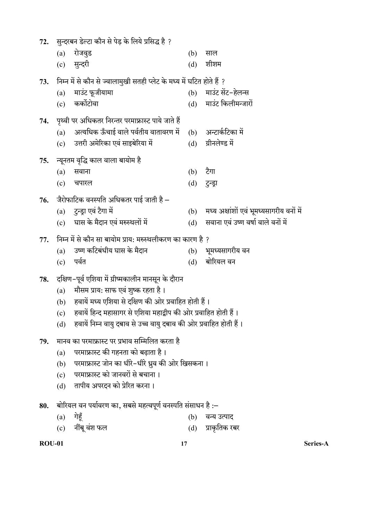- 72. सुन्दरबन डेल्टा कौन से पेड़ के लिये प्रसिद्ध है ?
	- (a) रोजवुड (b) साल
	- (c) सुन्दरी (d) शीशम

73. ?

- (a) माउंट फूजीयामा (b) माउंट सेंट-हेलन्स (c) कर्कोटोवा (d) माउंट किलीमन्जारों
- 74. पृथ्वी पर अधिकतर निरन्तर परमाफ्रास्ट पाये जाते हैं
	- (a) अत्यधिक ऊँचाई वाले पर्वतीय वातावरण में (b) अन्टार्कटिका में
	- (c) उत्तरी अमेरिका एवं साइबेरिया में (d) ग्रीनलेण्ड में
- 75. न्यूनतम वृद्धि काल वाला बायोम है
- $\qquad \qquad \text{(a)}\quad \text{R}$ सवाना $\qquad \qquad \text{(b)}\quad \text{d}\text{in}$ 
	- (c) चपारल (d) टुन्ड्रा
- 76. जैरोफाटिक वनस्पति अधिकतर पाई जाती है –<br>(a) टुन्ड्रा एवं टैगा में
	-
	- (b) मध्य अक्षांशों एवं भूमध्यसागरीय वनों में<br>(d) सवाना एवं उष्ण वर्षा वाले वनों में  $(c)$  घास के मैदान एवं मरुस्थलों में  $(d)$
- 77. निम्न में से कौन सा बायोम प्राय: मरुस्थलीकरण का कारण है ?
	- (a) उष्ण कटिबंधीय घास के मैदान (b) भूमध्यसागरीय वन
	- $\overline{c}$ ) पर्वत (d) बोरियल वन
- 78. दक्षिण-पूर्व एशिया में ग्रीष्मकालीन मानसून के दौरान
	- $(a)$  मौसम प्राय: साफ एवं शुष्क रहता है।
	- (b) हवायें मध्य एशिया से दक्षिण की ओर प्रवाहित होती हैं।
	- (c) हवायें हिन्द महासागर से एशिया महाद्वीप की ओर प्रवाहित होती हैं।
	- (d) हवायें निम्न वायु दबाव से उच्च वायु दबाव की ओर प्रवाहित होती हैं।
- 79. मानव का परमाफ्रास्ट पर प्रभाव सम्मिलित करता है
	- $(a)$  परमाफ्रास्ट की गहनता को बढाता है।
	- (b) परमाफ्रास्ट जोन का धीरे-धीरे ध्रुव की ओर खिसकना।
	- (c) परमाफ्रास्ट को जानवरों से बचाना।
	- (d) तापीय अपरदन को प्रेरित करना।
- 80. बोरियल वन पर्यावरण का, सबसे महत्वपूर्ण वनस्पति संसाधन है :–
	- $(a)$  गेहूँ  $(b)$  वन्य उत्पाद
	- (c) नींबू वंश फल (d) प्राकृतिक रबर

ROU-01 Series-A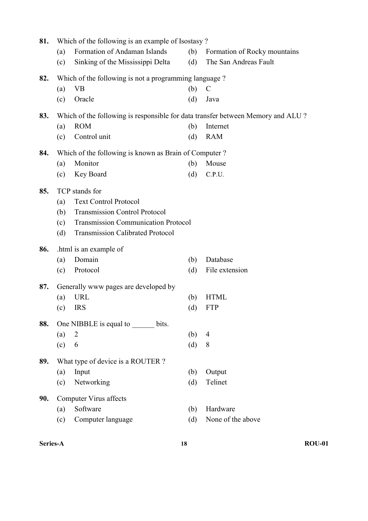| 81. |                                                                                                     | Which of the following is an example of Isostasy?                               |     |                              |  |  |
|-----|-----------------------------------------------------------------------------------------------------|---------------------------------------------------------------------------------|-----|------------------------------|--|--|
|     | (a)                                                                                                 | Formation of Andaman Islands                                                    | (b) | Formation of Rocky mountains |  |  |
|     | (c)                                                                                                 | Sinking of the Mississippi Delta                                                | (d) | The San Andreas Fault        |  |  |
| 82. | Which of the following is not a programming language?                                               |                                                                                 |     |                              |  |  |
|     | (a)                                                                                                 | <b>VB</b>                                                                       | (b) | $\mathbf C$                  |  |  |
|     | (c)                                                                                                 | Oracle                                                                          | (d) | Java                         |  |  |
| 83. |                                                                                                     | Which of the following is responsible for data transfer between Memory and ALU? |     |                              |  |  |
|     | (a)                                                                                                 | <b>ROM</b>                                                                      | (b) | Internet                     |  |  |
|     | (c)                                                                                                 | Control unit                                                                    | (d) | <b>RAM</b>                   |  |  |
| 84. |                                                                                                     | Which of the following is known as Brain of Computer?                           |     |                              |  |  |
|     | (a)                                                                                                 | Monitor                                                                         | (b) | Mouse                        |  |  |
|     | (c)                                                                                                 | Key Board                                                                       | (d) | C.P.U.                       |  |  |
| 85. |                                                                                                     | TCP stands for                                                                  |     |                              |  |  |
|     | (a)                                                                                                 | <b>Text Control Protocol</b>                                                    |     |                              |  |  |
|     | (b)                                                                                                 | <b>Transmission Control Protocol</b>                                            |     |                              |  |  |
|     | <b>Transmission Communication Protocol</b><br>(c)<br><b>Transmission Calibrated Protocol</b><br>(d) |                                                                                 |     |                              |  |  |
|     |                                                                                                     |                                                                                 |     |                              |  |  |
| 86. |                                                                                                     | .html is an example of                                                          |     |                              |  |  |
|     | (a)                                                                                                 | Domain                                                                          | (b) | Database                     |  |  |
|     | (c)                                                                                                 | Protocol                                                                        | (d) | File extension               |  |  |
| 87. | Generally www pages are developed by                                                                |                                                                                 |     |                              |  |  |
|     | (a)                                                                                                 | <b>URL</b>                                                                      | (b) | <b>HTML</b>                  |  |  |
|     | (c)                                                                                                 | <b>IRS</b>                                                                      | (d) | <b>FTP</b>                   |  |  |
| 88. |                                                                                                     | One NIBBLE is equal to bits.                                                    |     |                              |  |  |
|     | (a)                                                                                                 | $\overline{2}$                                                                  | (b) | $\overline{4}$               |  |  |
|     | (c)                                                                                                 | 6                                                                               | (d) | 8                            |  |  |
| 89. |                                                                                                     | What type of device is a ROUTER?                                                |     |                              |  |  |
|     | (a)                                                                                                 | Input                                                                           | (b) | Output                       |  |  |
|     | (c)                                                                                                 | Networking                                                                      | (d) | Telinet                      |  |  |
| 90. |                                                                                                     | <b>Computer Virus affects</b>                                                   |     |                              |  |  |
|     | (a)                                                                                                 | Software                                                                        | (b) | Hardware                     |  |  |
|     | (c)                                                                                                 | Computer language                                                               | (d) | None of the above            |  |  |
|     |                                                                                                     |                                                                                 |     |                              |  |  |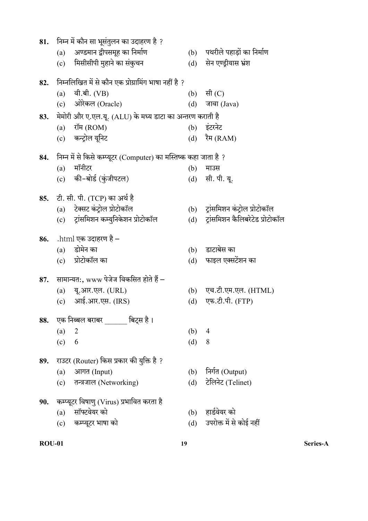| 81. | निम्न में कौन सा भूसंतुलन का उदाहरण है ?                         |     |                                  |  |  |
|-----|------------------------------------------------------------------|-----|----------------------------------|--|--|
|     | अण्डमान द्वीपसमूह का निर्माण<br>(a)                              | (b) | पथरीले पहाड़ों का निर्माण        |  |  |
|     | मिसीसीपी मुहाने का संकुचन<br>(c)                                 | (d) | सेन एण्ड्रीयास भ्रंश             |  |  |
| 82. | निम्नलिखित में से कौन एक प्रोग्रामिंग भाषा नहीं है ?             |     |                                  |  |  |
|     | वी.बी. (VB)<br>(a)                                               |     | (b) सी $(C)$                     |  |  |
|     | ओरेकल (Oracle)<br>(c)                                            | (d) | जावा (Java)                      |  |  |
| 83. | मेमोरी और ए.एल.यू. (ALU) के मध्य डाटा का अन्तरण कराती है         |     |                                  |  |  |
|     | रॉम (ROM)<br>(a)                                                 |     | (b) इंटरनेट                      |  |  |
|     | (c) कन्ट्रोल यूनिट                                               |     | (d) रैम (RAM)                    |  |  |
| 84. | निम्न में से किसे कम्प्यूटर (Computer) का मस्तिष्क कहा जाता है ? |     |                                  |  |  |
|     | मॉनीटर<br>(a)                                                    | (b) | माउस                             |  |  |
|     | (c) की-बोर्ड (कुंजीपटल)                                          |     | (d) सी. पी. यू.                  |  |  |
|     | 85. टी. सी. पी. (TCP) का अर्थ है                                 |     |                                  |  |  |
|     | (a) टेक्सट कंट्रोल प्रोटोकॉल                                     |     | (b) ट्रांसमिशन कंट्रोल प्रोटोकॉल |  |  |
|     | ट्रांसमिशन कम्युनिकेशन प्रोटोकॉल<br>(c)                          | (d) | ट्रांसमिशन कैलिबरेटेड प्रोटोकॉल  |  |  |
|     | 86. $\,$ .html एक उदाहरण है –                                    |     |                                  |  |  |
|     | डोमेन का<br>(a)                                                  | (b) | डाटाबेस का                       |  |  |
|     | (c) प्रोटोकॉल का                                                 | (d) | फाइल एक्सटेंशन का                |  |  |
| 87. | सामान्यत:, www पेजेज विकसित होते हैं –                           |     |                                  |  |  |
|     | (a) यू.आर.एल. (URL)                                              |     | (b) एच.टी.एम.एल. (HTML)          |  |  |
|     | (c) आई.आर.एस. (IRS)                                              | (d) | एफ.टी.पी. (FTP)                  |  |  |
| 88. | एक निब्बल बराबर             बिट्स है ।                           |     |                                  |  |  |
|     | (a)<br>$\overline{2}$                                            | (b) | $\overline{4}$                   |  |  |
|     | (c)<br>6                                                         | (d) | 8                                |  |  |
| 89. | राउटर (Router) किस प्रकार की युक्ति है ?                         |     |                                  |  |  |
|     | आगत (Input)<br>(a)                                               | (b) | निर्गत (Output)                  |  |  |
|     | तन्त्रजाल (Networking)<br>(c)                                    | (d) | टेलिनेट (Telinet)                |  |  |
| 90. | कम्प्यूटर विषाणु (Virus) प्रभावित करता है                        |     |                                  |  |  |
|     | सॉफ्टवेयर को<br>(a)                                              |     | (b) हार्डवेयर को                 |  |  |
|     | कम्प्यूटर भाषा को<br>(c)                                         | (d) | उपरोक्त में से कोई नहीं          |  |  |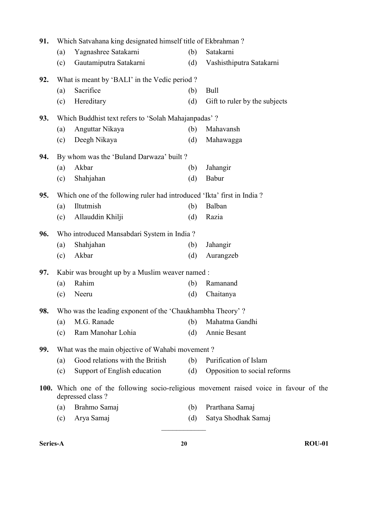| 91. | Which Satvahana king designated himself title of Ekbrahman?            |                                                           |     |                                                                                        |
|-----|------------------------------------------------------------------------|-----------------------------------------------------------|-----|----------------------------------------------------------------------------------------|
|     | (a)                                                                    | Yagnashree Satakarni                                      | (b) | Satakarni                                                                              |
|     | (c)                                                                    | Gautamiputra Satakarni                                    | (d) | Vashisthiputra Satakarni                                                               |
| 92. | What is meant by 'BALI' in the Vedic period?                           |                                                           |     |                                                                                        |
|     | (a)                                                                    | Sacrifice                                                 | (b) | Bull                                                                                   |
|     | (c)                                                                    | Hereditary                                                | (d) | Gift to ruler by the subjects                                                          |
| 93. | Which Buddhist text refers to 'Solah Mahajanpadas' ?                   |                                                           |     |                                                                                        |
|     | (a)                                                                    | Anguttar Nikaya                                           | (b) | Mahavansh                                                                              |
|     | (c)                                                                    | Deegh Nikaya                                              | (d) | Mahawagga                                                                              |
| 94. | By whom was the 'Buland Darwaza' built?                                |                                                           |     |                                                                                        |
|     | (a)                                                                    | Akbar                                                     | (b) | Jahangir                                                                               |
|     | (c)                                                                    | Shahjahan                                                 | (d) | Babur                                                                                  |
| 95. | Which one of the following ruler had introduced 'Ikta' first in India? |                                                           |     |                                                                                        |
|     | (a)                                                                    | Iltutmish                                                 | (b) | Balban                                                                                 |
|     | (c)                                                                    | Allauddin Khilji                                          | (d) | Razia                                                                                  |
| 96. | Who introduced Mansabdari System in India?                             |                                                           |     |                                                                                        |
|     | (a)                                                                    | Shahjahan                                                 | (b) | Jahangir                                                                               |
|     | (c)                                                                    | Akbar                                                     | (d) | Aurangzeb                                                                              |
| 97. |                                                                        | Kabir was brought up by a Muslim weaver named :           |     |                                                                                        |
|     | (a)                                                                    | Rahim                                                     | (b) | Ramanand                                                                               |
|     | (c)                                                                    | Neeru                                                     | (d) | Chaitanya                                                                              |
| 98. |                                                                        | Who was the leading exponent of the 'Chaukhambha Theory'? |     |                                                                                        |
|     | (a)                                                                    | M.G. Ranade                                               | (b) | Mahatma Gandhi                                                                         |
|     | (c)                                                                    | Ram Manohar Lohia                                         | (d) | Annie Besant                                                                           |
| 99. |                                                                        | What was the main objective of Wahabi movement?           |     |                                                                                        |
|     | (a)                                                                    | Good relations with the British                           | (b) | Purification of Islam                                                                  |
|     | (c)                                                                    | Support of English education                              | (d) | Opposition to social reforms                                                           |
|     |                                                                        | depressed class?                                          |     | 100. Which one of the following socio-religious movement raised voice in favour of the |
|     | (a)                                                                    | Brahmo Samaj                                              | (b) | Prarthana Samaj                                                                        |
|     | (c)                                                                    | Arya Samaj                                                | (d) | Satya Shodhak Samaj                                                                    |
|     |                                                                        |                                                           |     |                                                                                        |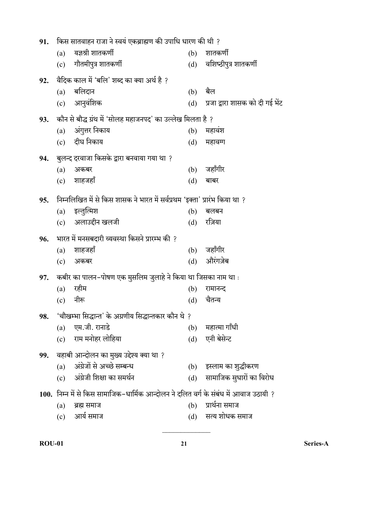| किस सातवाहन राजा ने स्वयं एकब्राह्मण की उपाधि धारण की थी ?<br>91. |                                                                                      |     |                                 |  |
|-------------------------------------------------------------------|--------------------------------------------------------------------------------------|-----|---------------------------------|--|
|                                                                   | यज्ञश्री शातकर्णी<br>(a)                                                             | (b) | शातकर्णी                        |  |
|                                                                   | गौतमीपुत्र शातकर्णी<br>(c)                                                           | (d) | वशिष्ठीपुत्र शातकर्णी           |  |
| 92.                                                               | वैदिक काल में 'बलि' शब्द का क्या अर्थ है ?                                           |     |                                 |  |
|                                                                   | बलिदान<br>(a)                                                                        | (b) | बैल                             |  |
|                                                                   | (c) आनुवंशिक                                                                         | (d) | प्रजा द्वारा शासक को दी गई भेंट |  |
| 93.                                                               | कौन से बौद्ध ग्रंथ में 'सोलह महाजनपद' का उल्लेख मिलता है ?                           |     |                                 |  |
|                                                                   | अंगुत्तर निकाय<br>(a)                                                                | (b) | महावंश                          |  |
|                                                                   | (c) दीघ निकाय                                                                        | (d) | महावग्ग                         |  |
| 94.                                                               | ्बुलन्द दरवाजा किसके द्वारा बनवाया गया था ?                                          |     |                                 |  |
|                                                                   | (a)<br>अकबर                                                                          | (b) | जहाँगीर                         |  |
|                                                                   | (c) शाहजहाँ                                                                          | (d) | बाबर                            |  |
| 95.                                                               | निम्नलिखित में से किस शासक ने भारत में सर्वप्रथम 'इक्ता' प्रारंभ किया था ?           |     |                                 |  |
|                                                                   | इल्तुत्मिश<br>(a)                                                                    | (b) | बलबन                            |  |
|                                                                   | (c) अलाउद्दीन खलजी                                                                   | (d) | रज़िया                          |  |
| 96.                                                               | भारत में मनसबदारी व्यवस्था किसने प्रारम्भ की ?                                       |     |                                 |  |
|                                                                   | शाहजहाँ<br>(a)                                                                       | (b) | जहाँगीर                         |  |
|                                                                   | (c)<br>अकबर                                                                          | (d) | औरंगज़ेब                        |  |
| 97.                                                               | कबीर का पालन–पोषण एक मुसलिम जुलाहे ने किया था जिसका नाम था :                         |     |                                 |  |
|                                                                   | रहीम<br>(a)                                                                          | (b) | रामानन्द                        |  |
|                                                                   | नीरू<br>(c)                                                                          | (d) | चैतन्य                          |  |
| 98.                                                               | 'चौखम्भा सिद्धान्त' के अग्रणीय सिद्धान्तकार कौन थे ?                                 |     |                                 |  |
|                                                                   | एम.जी. रानाडे<br>(a)                                                                 | (b) | महात्मा गाँधी                   |  |
|                                                                   | राम मनोहर लोहिया<br>(c)                                                              | (d) | एनी बेसेन्ट                     |  |
| 99.                                                               | वहाबी आन्दोलन का मुख्य उद्देश्य क्या था ?                                            |     |                                 |  |
|                                                                   | अंग्रेजों से अच्छे सम्बन्ध<br>(a)                                                    |     | (b) इस्लाम का शुद्धीकरण         |  |
|                                                                   | अंग्रेजी शिक्षा का समर्थन<br>(c)                                                     | (d) | सामाजिक सुधारों का विरोध        |  |
|                                                                   | 100. निम्न में से किस सामाजिक–धार्मिक आन्दोलन ने दलित वर्ग के संबंध में आवाज उठायी ? |     |                                 |  |
|                                                                   | (a)<br>ब्रह्म समाज                                                                   | (b) | प्रार्थना समाज                  |  |
|                                                                   | (c) आर्य समाज                                                                        |     | (d) सत्य शोधक समाज              |  |
|                                                                   |                                                                                      |     |                                 |  |

ROU-01 Series-A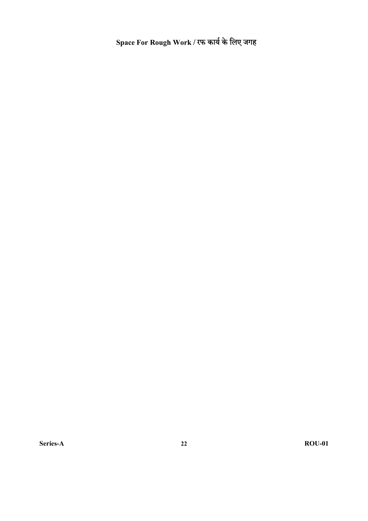Space For Rough Work /